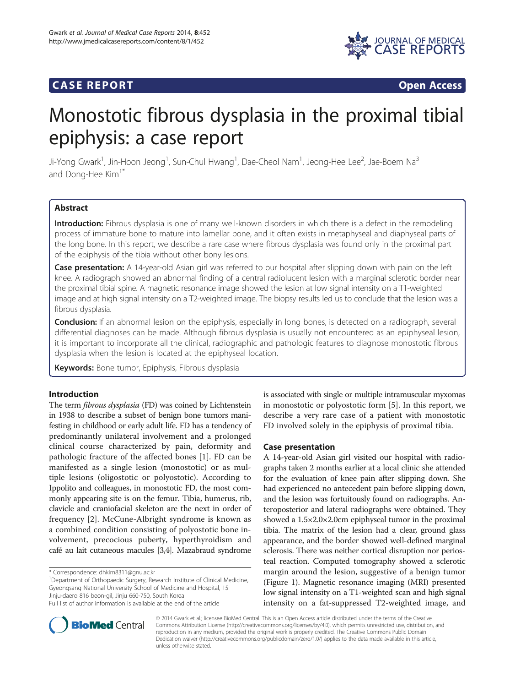# **CASE REPORT CASE REPORT**



# Monostotic fibrous dysplasia in the proximal tibial epiphysis: a case report

Ji-Yong Gwark<sup>1</sup>, Jin-Hoon Jeong<sup>1</sup>, Sun-Chul Hwang<sup>1</sup>, Dae-Cheol Nam<sup>1</sup>, Jeong-Hee Lee<sup>2</sup>, Jae-Boem Na<sup>3</sup> and Dong-Hee Kim<sup>1\*</sup>

# Abstract

Introduction: Fibrous dysplasia is one of many well-known disorders in which there is a defect in the remodeling process of immature bone to mature into lamellar bone, and it often exists in metaphyseal and diaphyseal parts of the long bone. In this report, we describe a rare case where fibrous dysplasia was found only in the proximal part of the epiphysis of the tibia without other bony lesions.

Case presentation: A 14-year-old Asian girl was referred to our hospital after slipping down with pain on the left knee. A radiograph showed an abnormal finding of a central radiolucent lesion with a marginal sclerotic border near the proximal tibial spine. A magnetic resonance image showed the lesion at low signal intensity on a T1-weighted image and at high signal intensity on a T2-weighted image. The biopsy results led us to conclude that the lesion was a fibrous dysplasia.

**Conclusion:** If an abnormal lesion on the epiphysis, especially in long bones, is detected on a radiograph, several differential diagnoses can be made. Although fibrous dysplasia is usually not encountered as an epiphyseal lesion, it is important to incorporate all the clinical, radiographic and pathologic features to diagnose monostotic fibrous dysplasia when the lesion is located at the epiphyseal location.

**Keywords:** Bone tumor, Epiphysis, Fibrous dysplasia

# Introduction

The term fibrous dysplasia (FD) was coined by Lichtenstein in 1938 to describe a subset of benign bone tumors manifesting in childhood or early adult life. FD has a tendency of predominantly unilateral involvement and a prolonged clinical course characterized by pain, deformity and pathologic fracture of the affected bones [[1\]](#page-3-0). FD can be manifested as a single lesion (monostotic) or as multiple lesions (oligostotic or polyostotic). According to Ippolito and colleagues, in monostotic FD, the most commonly appearing site is on the femur. Tibia, humerus, rib, clavicle and craniofacial skeleton are the next in order of frequency [\[2](#page-3-0)]. McCune-Albright syndrome is known as a combined condition consisting of polyostotic bone involvement, precocious puberty, hyperthyroidism and café au lait cutaneous macules [[3,4\]](#page-3-0). Mazabraud syndrome

\* Correspondence: [dhkim8311@gnu.ac.kr](mailto:dhkim8311@gnu.ac.kr) <sup>1</sup>

Department of Orthopaedic Surgery, Research Institute of Clinical Medicine, Gyeongsang National University School of Medicine and Hospital, 15 Jinju-daero 816 beon-gil, Jinju 660-750, South Korea

is associated with single or multiple intramuscular myxomas in monostotic or polyostotic form [[5\]](#page-3-0). In this report, we describe a very rare case of a patient with monostotic FD involved solely in the epiphysis of proximal tibia.

#### Case presentation

A 14-year-old Asian girl visited our hospital with radiographs taken 2 months earlier at a local clinic she attended for the evaluation of knee pain after slipping down. She had experienced no antecedent pain before slipping down, and the lesion was fortuitously found on radiographs. Anteroposterior and lateral radiographs were obtained. They showed a 1.5×2.0×2.0cm epiphyseal tumor in the proximal tibia. The matrix of the lesion had a clear, ground glass appearance, and the border showed well-defined marginal sclerosis. There was neither cortical disruption nor periosteal reaction. Computed tomography showed a sclerotic margin around the lesion, suggestive of a benign tumor (Figure [1\)](#page-1-0). Magnetic resonance imaging (MRI) presented low signal intensity on a T1-weighted scan and high signal intensity on a fat-suppressed T2-weighted image, and



© 2014 Gwark et al.; licensee BioMed Central. This is an Open Access article distributed under the terms of the Creative Commons Attribution License [\(http://creativecommons.org/licenses/by/4.0\)](http://creativecommons.org/licenses/by/4.0), which permits unrestricted use, distribution, and reproduction in any medium, provided the original work is properly credited. The Creative Commons Public Domain Dedication waiver [\(http://creativecommons.org/publicdomain/zero/1.0/](http://creativecommons.org/publicdomain/zero/1.0/)) applies to the data made available in this article, unless otherwise stated.

Full list of author information is available at the end of the article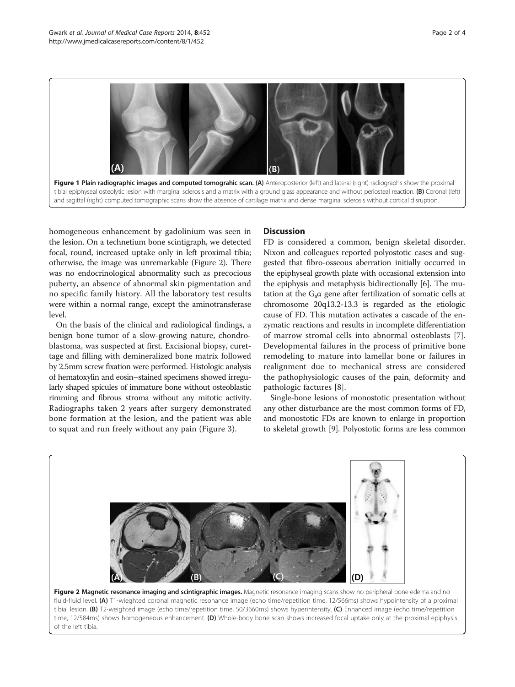<span id="page-1-0"></span>

homogeneous enhancement by gadolinium was seen in the lesion. On a technetium bone scintigraph, we detected focal, round, increased uptake only in left proximal tibia; otherwise, the image was unremarkable (Figure 2). There was no endocrinological abnormality such as precocious puberty, an absence of abnormal skin pigmentation and no specific family history. All the laboratory test results were within a normal range, except the aminotransferase level.

On the basis of the clinical and radiological findings, a benign bone tumor of a slow-growing nature, chondroblastoma, was suspected at first. Excisional biopsy, curettage and filling with demineralized bone matrix followed by 2.5mm screw fixation were performed. Histologic analysis of hematoxylin and eosin–stained specimens showed irregularly shaped spicules of immature bone without osteoblastic rimming and fibrous stroma without any mitotic activity. Radiographs taken 2 years after surgery demonstrated bone formation at the lesion, and the patient was able to squat and run freely without any pain (Figure [3](#page-2-0)).

# Discussion

FD is considered a common, benign skeletal disorder. Nixon and colleagues reported polyostotic cases and suggested that fibro-osseous aberration initially occurred in the epiphyseal growth plate with occasional extension into the epiphysis and metaphysis bidirectionally [\[6](#page-3-0)]. The mutation at the  $G_s\alpha$  gene after fertilization of somatic cells at chromosome 20q13.2-13.3 is regarded as the etiologic cause of FD. This mutation activates a cascade of the enzymatic reactions and results in incomplete differentiation of marrow stromal cells into abnormal osteoblasts [\[7](#page-3-0)]. Developmental failures in the process of primitive bone remodeling to mature into lamellar bone or failures in realignment due to mechanical stress are considered the pathophysiologic causes of the pain, deformity and pathologic factures [[8\]](#page-3-0).

Single-bone lesions of monostotic presentation without any other disturbance are the most common forms of FD, and monostotic FDs are known to enlarge in proportion to skeletal growth [\[9](#page-3-0)]. Polyostotic forms are less common



Figure 2 Magnetic resonance imaging and scintigraphic images. Magnetic resonance imaging scans show no peripheral bone edema and no fluid-fluid level. (A) T1-wieghted coronal magnetic resonance image (echo time/repetition time, 12/566ms) shows hypointensity of a proximal tibial lesion. (B) T2-weighted image (echo time/repetition time, 50/3660ms) shows hyperintensity. (C) Enhanced image (echo time/repetition time, 12/584ms) shows homogeneous enhancement. (D) Whole-body bone scan shows increased focal uptake only at the proximal epiphysis of the left tibia.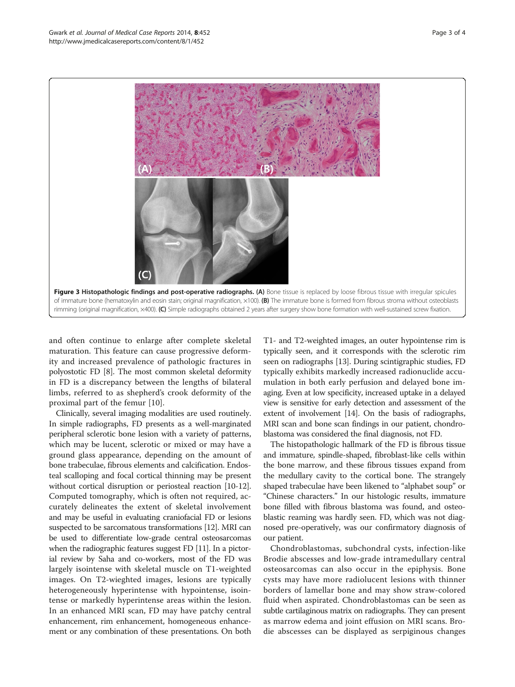<span id="page-2-0"></span>

and often continue to enlarge after complete skeletal maturation. This feature can cause progressive deformity and increased prevalence of pathologic fractures in polyostotic FD [[8](#page-3-0)]. The most common skeletal deformity in FD is a discrepancy between the lengths of bilateral limbs, referred to as shepherd's crook deformity of the proximal part of the femur [[10\]](#page-3-0).

Clinically, several imaging modalities are used routinely. In simple radiographs, FD presents as a well-marginated peripheral sclerotic bone lesion with a variety of patterns, which may be lucent, sclerotic or mixed or may have a ground glass appearance, depending on the amount of bone trabeculae, fibrous elements and calcification. Endosteal scalloping and focal cortical thinning may be present without cortical disruption or periosteal reaction [[10](#page-3-0)-[12](#page-3-0)]. Computed tomography, which is often not required, accurately delineates the extent of skeletal involvement and may be useful in evaluating craniofacial FD or lesions suspected to be sarcomatous transformations [\[12\]](#page-3-0). MRI can be used to differentiate low-grade central osteosarcomas when the radiographic features suggest FD [\[11\]](#page-3-0). In a pictorial review by Saha and co-workers, most of the FD was largely isointense with skeletal muscle on T1-weighted images. On T2-wieghted images, lesions are typically heterogeneously hyperintense with hypointense, isointense or markedly hyperintense areas within the lesion. In an enhanced MRI scan, FD may have patchy central enhancement, rim enhancement, homogeneous enhancement or any combination of these presentations. On both

T1- and T2-weighted images, an outer hypointense rim is typically seen, and it corresponds with the sclerotic rim seen on radiographs [\[13\]](#page-3-0). During scintigraphic studies, FD typically exhibits markedly increased radionuclide accumulation in both early perfusion and delayed bone imaging. Even at low specificity, increased uptake in a delayed view is sensitive for early detection and assessment of the extent of involvement [[14](#page-3-0)]. On the basis of radiographs, MRI scan and bone scan findings in our patient, chondroblastoma was considered the final diagnosis, not FD.

The histopathologic hallmark of the FD is fibrous tissue and immature, spindle-shaped, fibroblast-like cells within the bone marrow, and these fibrous tissues expand from the medullary cavity to the cortical bone. The strangely shaped trabeculae have been likened to "alphabet soup" or "Chinese characters." In our histologic results, immature bone filled with fibrous blastoma was found, and osteoblastic reaming was hardly seen. FD, which was not diagnosed pre-operatively, was our confirmatory diagnosis of our patient.

Chondroblastomas, subchondral cysts, infection-like Brodie abscesses and low-grade intramedullary central osteosarcomas can also occur in the epiphysis. Bone cysts may have more radiolucent lesions with thinner borders of lamellar bone and may show straw-colored fluid when aspirated. Chondroblastomas can be seen as subtle cartilaginous matrix on radiographs. They can present as marrow edema and joint effusion on MRI scans. Brodie abscesses can be displayed as serpiginous changes